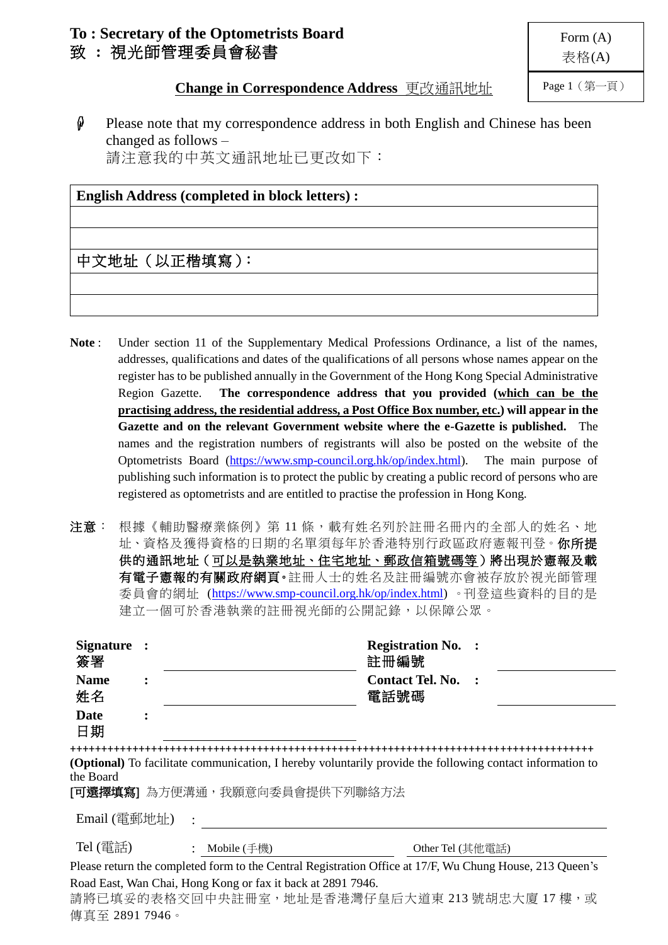# **To : Secretary of the Optometrists Board** 致 **:** 視光師管理委員會秘書

Page 1(第一頁)

**Change in Correspondence Address** 更改通訊地址

 $\hat{\phi}$  Please note that my correspondence address in both English and Chinese has been changed as follows – 請注意我的中英文通訊地址已更改如下:

### **English Address (completed in block letters) :**

## 中文地址(以正楷填寫):

- Note: Under section 11 of the Supplementary Medical Professions Ordinance, a list of the names, addresses, qualifications and dates of the qualifications of all persons whose names appear on the register has to be published annually in the Government of the Hong Kong Special Administrative Region Gazette. **The correspondence address that you provided (which can be the practising address, the residential address, a Post Office Box number, etc.) will appear in the Gazette and on the relevant Government website where the e-Gazette is published.** The names and the registration numbers of registrants will also be posted on the website of the Optometrists Board [\(https://www.smp-council.org.hk/op/index.html\)](https://www.smp-council.org.hk/op/index.html). The main purpose of publishing such information is to protect the public by creating a public record of persons who are registered as optometrists and are entitled to practise the profession in Hong Kong.
- 注意: 根據《輔助醫療業條例》第11條,載有姓名列於註冊名冊內的全部人的姓名、地 址、資格及獲得資格的日期的名單須每年於香港特別行政區政府憲報刊登。你所提 供的通訊地址(可以是執業地址、住宅地址、郵政信箱號碼等)將出現於憲報及載 有電子憲報的有關政府網頁。註冊人士的姓名及註冊編號亦會被存放於視光師管理 委員會的網址 [\(https://www.smp-council.org.hk/op/index.html\)](https://www.smp-council.org.hk/op/index.html) 。刊登這些資料的目的是 建立一個可於香港執業的註冊視光師的公開記錄,以保障公眾。

| Signature :<br>簽署                                                                                                                                                |                |                                                                                                              | <b>Registration No. :</b><br>註冊編號 |  |  |  |  |  |
|------------------------------------------------------------------------------------------------------------------------------------------------------------------|----------------|--------------------------------------------------------------------------------------------------------------|-----------------------------------|--|--|--|--|--|
| <b>Name</b><br>姓名                                                                                                                                                | $\ddot{\cdot}$ |                                                                                                              | <b>Contact Tel. No.</b><br>電話號碼   |  |  |  |  |  |
| <b>Date</b><br>日期                                                                                                                                                |                |                                                                                                              |                                   |  |  |  |  |  |
|                                                                                                                                                                  |                |                                                                                                              |                                   |  |  |  |  |  |
| (Optional) To facilitate communication, I hereby voluntarily provide the following contact information to<br>the Board<br>[ <b>可選擇填寫</b> ] 為方便溝通,我願意向委員會提供下列聯絡方法 |                |                                                                                                              |                                   |  |  |  |  |  |
| Email (電郵地址)                                                                                                                                                     |                |                                                                                                              |                                   |  |  |  |  |  |
| Tel (電話)                                                                                                                                                         |                | : Mobile (手機)                                                                                                | Other Tel (其他電話)                  |  |  |  |  |  |
|                                                                                                                                                                  |                | Please return the completed form to the Central Registration Office at 17/F, Wu Chung House, 213 Queen's     |                                   |  |  |  |  |  |
| 傳真至 2891 7946。                                                                                                                                                   |                | Road East, Wan Chai, Hong Kong or fax it back at 2891 7946.<br>請將已填妥的表格交回中央註冊室,地址是香港灣仔皇后大道東 213 號胡忠大廈 17 樓,或 |                                   |  |  |  |  |  |